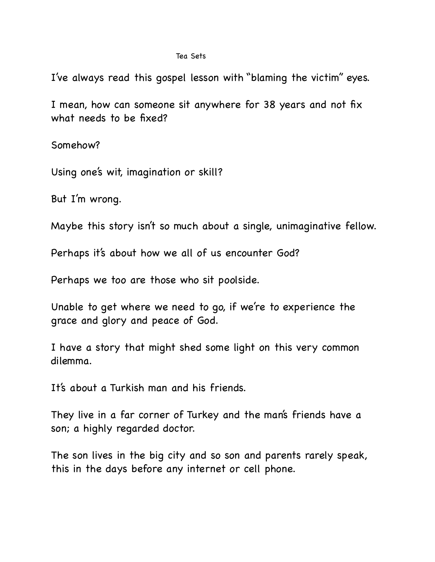## Tea Sets

I've always read this gospel lesson with "blaming the victim" eyes.

I mean, how can someone sit anywhere for 38 years and not fix what needs to be fixed?

Somehow?

Using one's wit, imagination or skill?

But I'm wrong.

Maybe this story isn't so much about a single, unimaginative fellow.

Perhaps it's about how we all of us encounter God?

Perhaps we too are those who sit poolside.

Unable to get where we need to go, if we're to experience the grace and glory and peace of God.

I have a story that might shed some light on this very common dilemma.

It's about a Turkish man and his friends.

They live in a far corner of Turkey and the man's friends have a son; a highly regarded doctor.

The son lives in the big city and so son and parents rarely speak, this in the days before any internet or cell phone.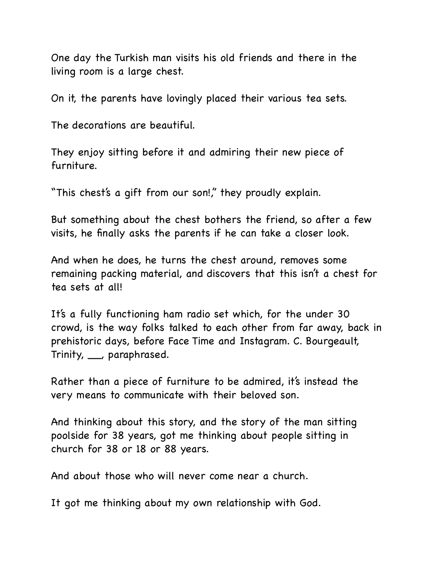One day the Turkish man visits his old friends and there in the living room is a large chest.

On it, the parents have lovingly placed their various tea sets.

The decorations are beautiful.

They enjoy sitting before it and admiring their new piece of furniture.

"This chest's a gift from our son!," they proudly explain.

But something about the chest bothers the friend, so after a few visits, he finally asks the parents if he can take a closer look.

And when he does, he turns the chest around, removes some remaining packing material, and discovers that this isn't a chest for tea sets at all!

It's a fully functioning ham radio set which, for the under 30 crowd, is the way folks talked to each other from far away, back in prehistoric days, before Face Time and Instagram. C. Bourgeault, Trinity, \_\_, paraphrased.

Rather than a piece of furniture to be admired, it's instead the very means to communicate with their beloved son.

And thinking about this story, and the story of the man sitting poolside for 38 years, got me thinking about people sitting in church for 38 or 18 or 88 years.

And about those who will never come near a church.

It got me thinking about my own relationship with God.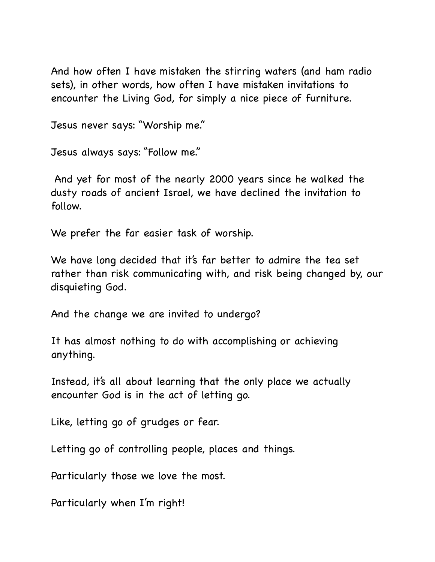And how often I have mistaken the stirring waters (and ham radio sets), in other words, how often I have mistaken invitations to encounter the Living God, for simply a nice piece of furniture.

Jesus never says: "Worship me."

Jesus always says: "Follow me."

 And yet for most of the nearly 2000 years since he walked the dusty roads of ancient Israel, we have declined the invitation to follow.

We prefer the far easier task of worship.

We have long decided that it's far better to admire the tea set rather than risk communicating with, and risk being changed by, our disquieting God.

And the change we are invited to undergo?

It has almost nothing to do with accomplishing or achieving anything.

Instead, it's all about learning that the only place we actually encounter God is in the act of letting go.

Like, letting go of grudges or fear.

Letting go of controlling people, places and things.

Particularly those we love the most.

Particularly when I'm right!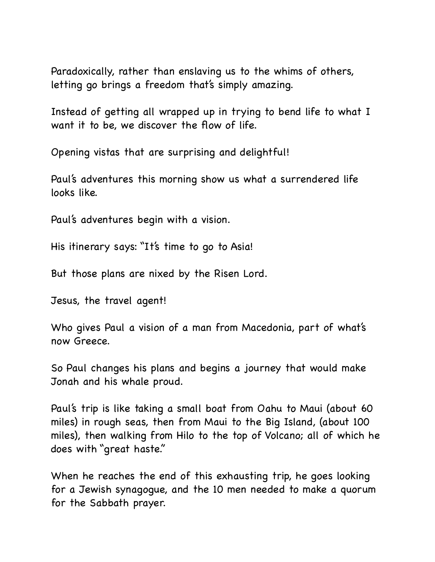Paradoxically, rather than enslaving us to the whims of others, letting go brings a freedom that's simply amazing.

Instead of getting all wrapped up in trying to bend life to what I want it to be, we discover the flow of life.

Opening vistas that are surprising and delightful!

Paul's adventures this morning show us what a surrendered life looks like.

Paul's adventures begin with a vision.

His itinerary says: "It's time to go to Asia!

But those plans are nixed by the Risen Lord.

Jesus, the travel agent!

Who gives Paul a vision of a man from Macedonia, part of what's now Greece.

So Paul changes his plans and begins a journey that would make Jonah and his whale proud.

Paul's trip is like taking a small boat from Oahu to Maui (about 60 miles) in rough seas, then from Maui to the Big Island, (about 100 miles), then walking from Hilo to the top of Volcano; all of which he does with "great haste."

When he reaches the end of this exhausting trip, he goes looking for a Jewish synagogue, and the 10 men needed to make a quorum for the Sabbath prayer.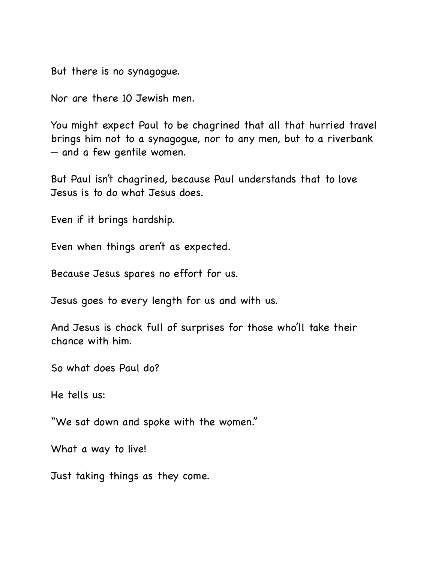But there is no synagogue.

Nor are there 10 Jewish men.

You might expect Paul to be chagrined that all that hurried travel brings him not to a synagogue, nor to any men, but to a riverbank — and a few gentile women.

But Paul isn't chagrined, because Paul understands that to love Jesus is to do what Jesus does.

Even if it brings hardship.

Even when things aren't as expected.

Because Jesus spares no effort for us.

Jesus goes to every length for us and with us.

And Jesus is chock full of surprises for those who'll take their chance with him.

So what does Paul do?

He tells us:

"We sat down and spoke with the women."

What a way to live!

Just taking things as they come.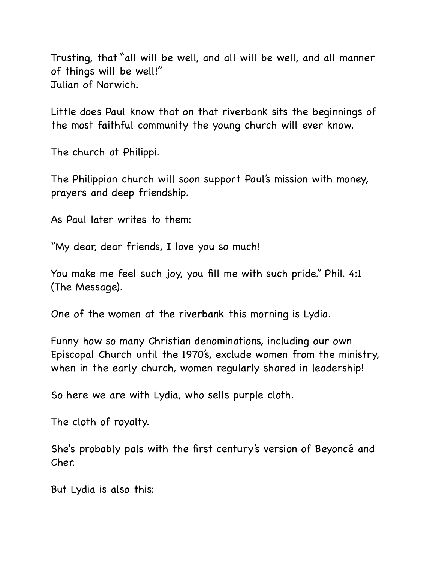Trusting, that "all will be well, and all will be well, and all manner of things will be well!" Julian of Norwich.

Little does Paul know that on that riverbank sits the beginnings of the most faithful community the young church will ever know.

The church at Philippi.

The Philippian church will soon support Paul's mission with money, prayers and deep friendship.

As Paul later writes to them:

"My dear, dear friends, I love you so much!

You make me feel such joy, you fill me with such pride." Phil. 4:1 (The Message).

One of the women at the riverbank this morning is Lydia.

Funny how so many Christian denominations, including our own Episcopal Church until the 1970's, exclude women from the ministry, when in the early church, women regularly shared in leadership!

So here we are with Lydia, who sells purple cloth.

The cloth of royalty.

She's probably pals with the first century's version of Beyoncé and Cher.

But Lydia is also this: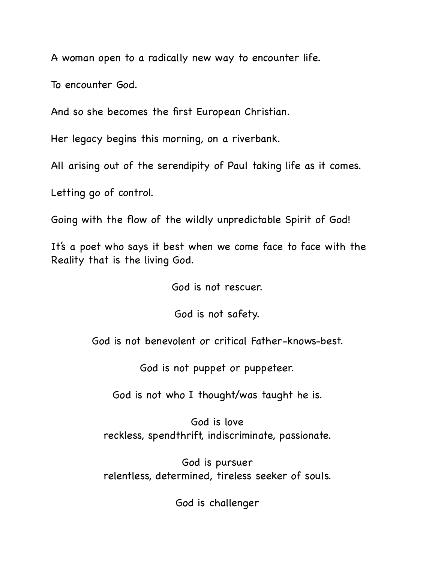A woman open to a radically new way to encounter life.

To encounter God.

And so she becomes the first European Christian.

Her legacy begins this morning, on a riverbank.

All arising out of the serendipity of Paul taking life as it comes.

Letting go of control.

Going with the flow of the wildly unpredictable Spirit of God!

It's a poet who says it best when we come face to face with the Reality that is the living God.

God is not rescuer.

God is not safety.

God is not benevolent or critical Father-knows-best.

God is not puppet or puppeteer.

God is not who I thought/was taught he is.

God is love reckless, spendthrift, indiscriminate, passionate.

God is pursuer relentless, determined, tireless seeker of souls.

God is challenger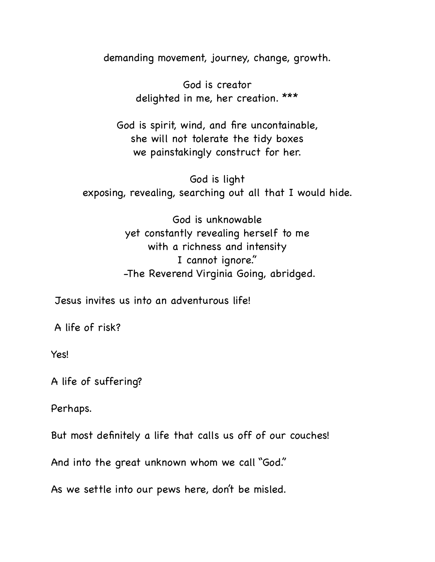demanding movement, journey, change, growth.

God is creator delighted in me, her creation. \*\*\*

God is spirit, wind, and fire uncontainable, she will not tolerate the tidy boxes we painstakingly construct for her.

God is light exposing, revealing, searching out all that I would hide.

> God is unknowable yet constantly revealing herself to me with a richness and intensity I cannot ignore." -The Reverend Virginia Going, abridged.

Jesus invites us into an adventurous life!

A life of risk?

Yes!

A life of suffering?

Perhaps.

But most definitely a life that calls us off of our couches!

And into the great unknown whom we call "God."

As we settle into our pews here, don't be misled.